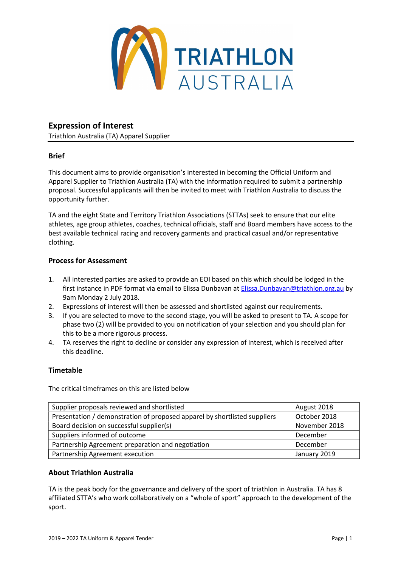

## Expression of Interest

Triathlon Australia (TA) Apparel Supplier

## Brief

This document aims to provide organisation's interested in becoming the Official Uniform and Apparel Supplier to Triathlon Australia (TA) with the information required to submit a partnership proposal. Successful applicants will then be invited to meet with Triathlon Australia to discuss the opportunity further.

TA and the eight State and Territory Triathlon Associations (STTAs) seek to ensure that our elite athletes, age group athletes, coaches, technical officials, staff and Board members have access to the best available technical racing and recovery garments and practical casual and/or representative clothing.

## Process for Assessment

- 1. All interested parties are asked to provide an EOI based on this which should be lodged in the first instance in PDF format via email to Elissa Dunbavan at Elissa.Dunbavan@triathlon.org.au by 9am Monday 2 July 2018.
- 2. Expressions of interest will then be assessed and shortlisted against our requirements.
- 3. If you are selected to move to the second stage, you will be asked to present to TA. A scope for phase two (2) will be provided to you on notification of your selection and you should plan for this to be a more rigorous process.
- 4. TA reserves the right to decline or consider any expression of interest, which is received after this deadline.

## Timetable

The critical timeframes on this are listed below

| Supplier proposals reviewed and shortlisted                               | August 2018   |
|---------------------------------------------------------------------------|---------------|
| Presentation / demonstration of proposed apparel by shortlisted suppliers | October 2018  |
| Board decision on successful supplier(s)                                  | November 2018 |
| Suppliers informed of outcome                                             | December      |
| Partnership Agreement preparation and negotiation                         | December      |
| Partnership Agreement execution                                           | January 2019  |

## About Triathlon Australia

TA is the peak body for the governance and delivery of the sport of triathlon in Australia. TA has 8 affiliated STTA's who work collaboratively on a "whole of sport" approach to the development of the sport.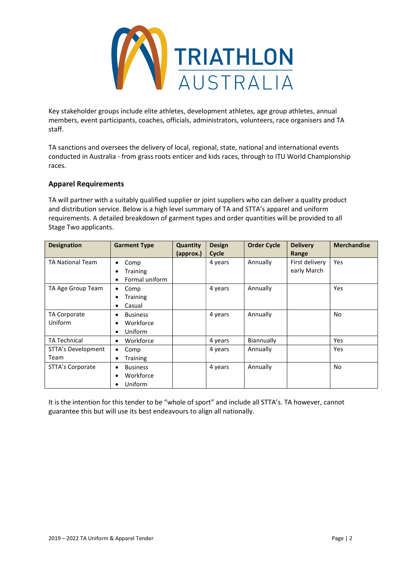

Key stakeholder groups include elite athletes, development athletes, age group athletes, annual members, event participants, coaches, officials, administrators, volunteers, race organisers and TA staff.

TA sanctions and oversees the delivery of local, regional, state, national and international events conducted in Australia - from grass roots enticer and kids races, through to ITU World Championship races.

## Apparel Requirements

TA will partner with a suitably qualified supplier or joint suppliers who can deliver a quality product and distribution service. Below is a high level summary of TA and STTA's apparel and uniform requirements. A detailed breakdown of garment types and order quantities will be provided to all Stage Two applicants.

| <b>Designation</b>      | <b>Garment Type</b>  | Quantity<br>(approx.) | <b>Design</b><br>Cycle | <b>Order Cycle</b> | <b>Delivery</b><br>Range | <b>Merchandise</b> |
|-------------------------|----------------------|-----------------------|------------------------|--------------------|--------------------------|--------------------|
| <b>TA National Team</b> | Comp<br>٠            |                       | 4 years                | Annually           | First delivery           | Yes                |
|                         | <b>Training</b>      |                       |                        |                    | early March              |                    |
|                         | Formal uniform<br>٠  |                       |                        |                    |                          |                    |
| TA Age Group Team       | Comp<br>٠            |                       | 4 years                | Annually           |                          | Yes                |
|                         | <b>Training</b><br>٠ |                       |                        |                    |                          |                    |
|                         | Casual<br>٠          |                       |                        |                    |                          |                    |
| <b>TA Corporate</b>     | <b>Business</b><br>٠ |                       | 4 years                | Annually           |                          | <b>No</b>          |
| Uniform                 | Workforce            |                       |                        |                    |                          |                    |
|                         | Uniform<br>٠         |                       |                        |                    |                          |                    |
| TA Technical            | Workforce<br>٠       |                       | 4 years                | Biannually         |                          | Yes                |
| STTA's Development      | Comp<br>٠            |                       | 4 years                | Annually           |                          | Yes                |
| Team                    | <b>Training</b><br>٠ |                       |                        |                    |                          |                    |
| STTA's Corporate        | <b>Business</b><br>٠ |                       | 4 years                | Annually           |                          | No                 |
|                         | Workforce            |                       |                        |                    |                          |                    |
|                         | Uniform              |                       |                        |                    |                          |                    |

It is the intention for this tender to be "whole of sport" and include all STTA's. TA however, cannot guarantee this but will use its best endeavours to align all nationally.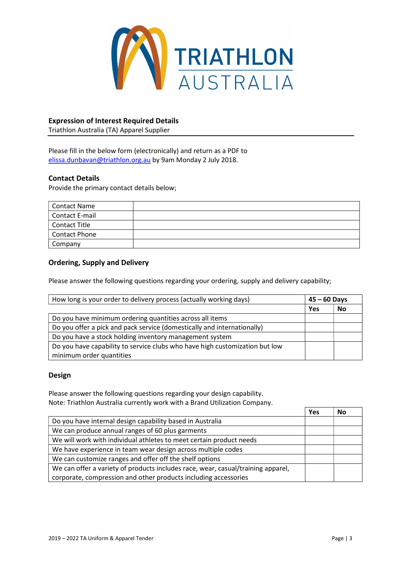

## Expression of Interest Required Details

Triathlon Australia (TA) Apparel Supplier

Please fill in the below form (electronically) and return as a PDF to elissa.dunbavan@triathlon.org.au by 9am Monday 2 July 2018.

#### Contact Details

Provide the primary contact details below;

| <b>Contact Name</b>  |  |
|----------------------|--|
| Contact E-mail       |  |
| <b>Contact Title</b> |  |
| Contact Phone        |  |
| Company              |  |

#### Ordering, Supply and Delivery

Please answer the following questions regarding your ordering, supply and delivery capability;

| How long is your order to delivery process (actually working days)          | $45 - 60$ Days |    |
|-----------------------------------------------------------------------------|----------------|----|
|                                                                             | Yes            | No |
| Do you have minimum ordering quantities across all items                    |                |    |
| Do you offer a pick and pack service (domestically and internationally)     |                |    |
| Do you have a stock holding inventory management system                     |                |    |
| Do you have capability to service clubs who have high customization but low |                |    |
| minimum order quantities                                                    |                |    |

#### Design

Please answer the following questions regarding your design capability. Note: Triathlon Australia currently work with a Brand Utilization Company.

|                                                                                  | Yes | No |
|----------------------------------------------------------------------------------|-----|----|
| Do you have internal design capability based in Australia                        |     |    |
| We can produce annual ranges of 60 plus garments                                 |     |    |
| We will work with individual athletes to meet certain product needs              |     |    |
| We have experience in team wear design across multiple codes                     |     |    |
| We can customize ranges and offer off the shelf options                          |     |    |
| We can offer a variety of products includes race, wear, casual/training apparel, |     |    |
| corporate, compression and other products including accessories                  |     |    |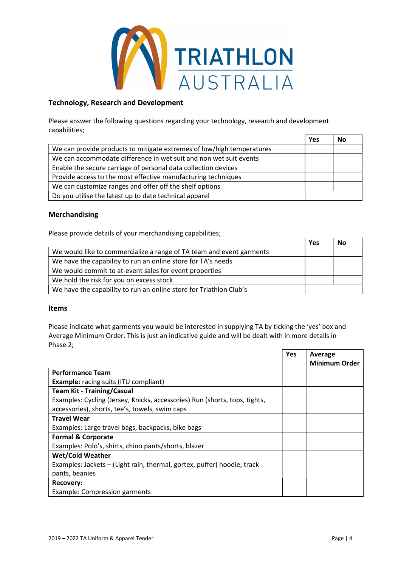

## Technology, Research and Development

Please answer the following questions regarding your technology, research and development capabilities;  $V_{\text{ext}}$  No

|                                                                       | Yes | NO |
|-----------------------------------------------------------------------|-----|----|
| We can provide products to mitigate extremes of low/high temperatures |     |    |
| We can accommodate difference in wet suit and non wet suit events     |     |    |
| Enable the secure carriage of personal data collection devices        |     |    |
| Provide access to the most effective manufacturing techniques         |     |    |
| We can customize ranges and offer off the shelf options               |     |    |
| Do you utilise the latest up to date technical apparel                |     |    |

## Merchandising

Please provide details of your merchandising capabilities;

|                                                                      | Yes | No |
|----------------------------------------------------------------------|-----|----|
| We would like to commercialize a range of TA team and event garments |     |    |
| We have the capability to run an online store for TA's needs         |     |    |
| We would commit to at-event sales for event properties               |     |    |
| We hold the risk for you on excess stock                             |     |    |
| We have the capability to run an online store for Triathlon Club's   |     |    |

#### Items

Please indicate what garments you would be interested in supplying TA by ticking the 'yes' box and Average Minimum Order. This is just an indicative guide and will be dealt with in more details in Phase 2;

|                                                                            | Yes | Average              |
|----------------------------------------------------------------------------|-----|----------------------|
|                                                                            |     | <b>Minimum Order</b> |
| <b>Performance Team</b>                                                    |     |                      |
| <b>Example:</b> racing suits (ITU compliant)                               |     |                      |
| <b>Team Kit - Training/Casual</b>                                          |     |                      |
| Examples: Cycling (Jersey, Knicks, accessories) Run (shorts, tops, tights, |     |                      |
| accessories), shorts, tee's, towels, swim caps                             |     |                      |
| <b>Travel Wear</b>                                                         |     |                      |
| Examples: Large travel bags, backpacks, bike bags                          |     |                      |
| <b>Formal &amp; Corporate</b>                                              |     |                      |
| Examples: Polo's, shirts, chino pants/shorts, blazer                       |     |                      |
| <b>Wet/Cold Weather</b>                                                    |     |                      |
| Examples: Jackets - (Light rain, thermal, gortex, puffer) hoodie, track    |     |                      |
| pants, beanies                                                             |     |                      |
| Recovery:                                                                  |     |                      |
| Example: Compression garments                                              |     |                      |